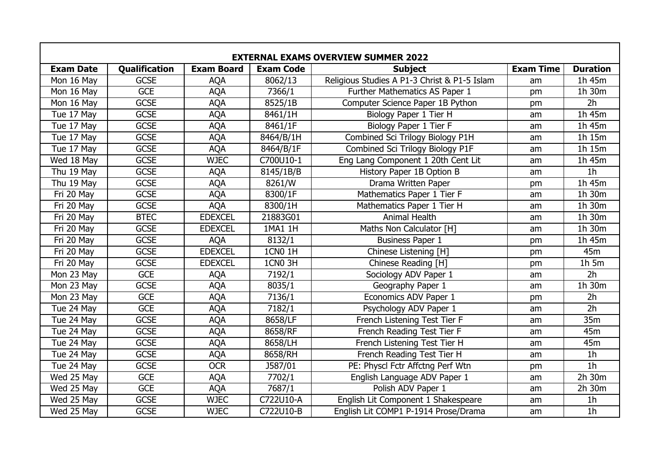| <b>Exam Date</b> | Qualification | <b>Exam Board</b> | <b>Exam Code</b> | <b>Subject</b>                               | <b>Exam Time</b> | <b>Duration</b> |
|------------------|---------------|-------------------|------------------|----------------------------------------------|------------------|-----------------|
| Mon 16 May       | <b>GCSE</b>   | <b>AQA</b>        | 8062/13          | Religious Studies A P1-3 Christ & P1-5 Islam | am               | 1h 45m          |
| Mon 16 May       | <b>GCE</b>    | <b>AQA</b>        | 7366/1           | Further Mathematics AS Paper 1               | pm               | 1h 30m          |
| Mon 16 May       | <b>GCSE</b>   | <b>AQA</b>        | 8525/1B          | Computer Science Paper 1B Python             | pm               | 2h              |
| Tue 17 May       | <b>GCSE</b>   | <b>AQA</b>        | 8461/1H          | Biology Paper 1 Tier H                       | am               | 1h 45m          |
| Tue 17 May       | <b>GCSE</b>   | <b>AQA</b>        | 8461/1F          | Biology Paper 1 Tier F                       | am               | 1h 45m          |
| Tue 17 May       | <b>GCSE</b>   | <b>AQA</b>        | 8464/B/1H        | Combined Sci Trilogy Biology P1H             | am               | 1h 15m          |
| Tue 17 May       | <b>GCSE</b>   | <b>AQA</b>        | 8464/B/1F        | Combined Sci Trilogy Biology P1F             | am               | 1h 15m          |
| Wed 18 May       | <b>GCSE</b>   | <b>WJEC</b>       | C700U10-1        | Eng Lang Component 1 20th Cent Lit           | am               | 1h 45m          |
| Thu 19 May       | <b>GCSE</b>   | <b>AQA</b>        | 8145/1B/B        | History Paper 1B Option B                    | am               | 1 <sub>h</sub>  |
| Thu 19 May       | <b>GCSE</b>   | <b>AQA</b>        | 8261/W           | Drama Written Paper                          | pm               | 1h 45m          |
| Fri 20 May       | <b>GCSE</b>   | <b>AQA</b>        | 8300/1F          | Mathematics Paper 1 Tier F                   | am               | 1h 30m          |
| Fri 20 May       | <b>GCSE</b>   | <b>AQA</b>        | 8300/1H          | Mathematics Paper 1 Tier H                   | am               | 1h 30m          |
| Fri 20 May       | <b>BTEC</b>   | <b>EDEXCEL</b>    | 21883G01         | <b>Animal Health</b>                         | am               | 1h 30m          |
| Fri 20 May       | <b>GCSE</b>   | <b>EDEXCEL</b>    | 1MA1 1H          | Maths Non Calculator [H]                     | am               | 1h 30m          |
| Fri 20 May       | <b>GCSE</b>   | <b>AQA</b>        | 8132/1           | <b>Business Paper 1</b>                      | pm               | 1h 45m          |
| Fri 20 May       | <b>GCSE</b>   | <b>EDEXCEL</b>    | <b>1CN0 1H</b>   | Chinese Listening [H]                        | pm               | 45m             |
| Fri 20 May       | <b>GCSE</b>   | <b>EDEXCEL</b>    | 1CN0 3H          | Chinese Reading [H]                          | pm               | $1h$ 5m         |
| Mon 23 May       | <b>GCE</b>    | <b>AQA</b>        | 7192/1           | Sociology ADV Paper 1                        | am               | 2 <sub>h</sub>  |
| Mon 23 May       | <b>GCSE</b>   | <b>AQA</b>        | 8035/1           | Geography Paper 1                            | am               | 1h 30m          |
| Mon 23 May       | <b>GCE</b>    | <b>AQA</b>        | 7136/1           | Economics ADV Paper 1                        | pm               | $\overline{2h}$ |
| Tue 24 May       | <b>GCE</b>    | <b>AQA</b>        | 7182/1           | Psychology ADV Paper 1                       | am               | $\overline{2h}$ |
| Tue 24 May       | <b>GCSE</b>   | <b>AQA</b>        | 8658/LF          | French Listening Test Tier F                 | am               | 35m             |
| Tue 24 May       | <b>GCSE</b>   | <b>AQA</b>        | 8658/RF          | French Reading Test Tier F                   | am               | 45m             |
| Tue 24 May       | <b>GCSE</b>   | <b>AQA</b>        | 8658/LH          | French Listening Test Tier H                 | am               | 45m             |
| Tue 24 May       | <b>GCSE</b>   | <b>AQA</b>        | 8658/RH          | French Reading Test Tier H                   | am               | 1 <sub>h</sub>  |
| Tue 24 May       | <b>GCSE</b>   | <b>OCR</b>        | J587/01          | PE: Physcl Fctr Affctng Perf Wtn             | pm               | $\overline{1h}$ |
| Wed 25 May       | <b>GCE</b>    | <b>AQA</b>        | 7702/1           | English Language ADV Paper 1                 | am               | 2h 30m          |
| Wed 25 May       | <b>GCE</b>    | <b>AQA</b>        | 7687/1           | Polish ADV Paper 1                           | am               | 2h 30m          |
| Wed 25 May       | <b>GCSE</b>   | <b>WJEC</b>       | C722U10-A        | English Lit Component 1 Shakespeare          | am               | 1 <sub>h</sub>  |
| Wed 25 May       | <b>GCSE</b>   | <b>WJEC</b>       | C722U10-B        | English Lit COMP1 P-1914 Prose/Drama         | am               | 1 <sub>h</sub>  |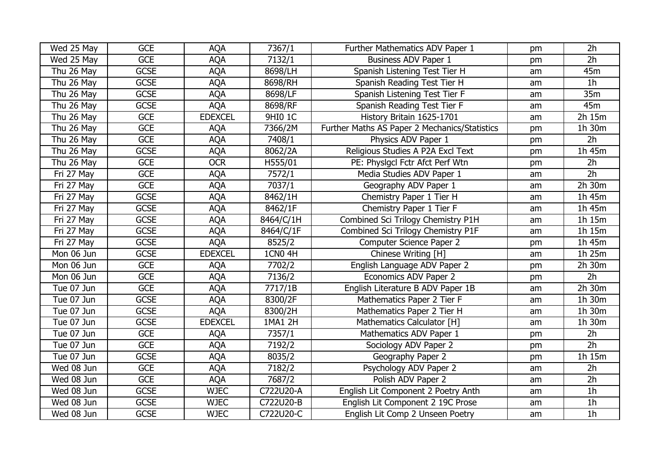| Wed 25 May | <b>GCE</b>  | <b>AQA</b>     | 7367/1         | Further Mathematics ADV Paper 1               | pm | 2h              |
|------------|-------------|----------------|----------------|-----------------------------------------------|----|-----------------|
| Wed 25 May | <b>GCE</b>  | <b>AQA</b>     | 7132/1         | <b>Business ADV Paper 1</b>                   | pm | 2h              |
| Thu 26 May | <b>GCSE</b> | <b>AQA</b>     | 8698/LH        | Spanish Listening Test Tier H                 | am | 45m             |
| Thu 26 May | <b>GCSE</b> | <b>AQA</b>     | 8698/RH        | Spanish Reading Test Tier H                   | am | 1 <sub>h</sub>  |
| Thu 26 May | <b>GCSE</b> | <b>AQA</b>     | 8698/LF        | Spanish Listening Test Tier F                 | am | 35m             |
| Thu 26 May | <b>GCSE</b> | <b>AQA</b>     | 8698/RF        | Spanish Reading Test Tier F                   | am | 45m             |
| Thu 26 May | <b>GCE</b>  | <b>EDEXCEL</b> | 9HI0 1C        | History Britain 1625-1701                     | am | $2h$ 15 $m$     |
| Thu 26 May | <b>GCE</b>  | <b>AQA</b>     | 7366/2M        | Further Maths AS Paper 2 Mechanics/Statistics | pm | 1h 30m          |
| Thu 26 May | <b>GCE</b>  | <b>AQA</b>     | 7408/1         | Physics ADV Paper 1                           | pm | 2h              |
| Thu 26 May | <b>GCSE</b> | <b>AQA</b>     | 8062/2A        | Religious Studies A P2A Excl Text             | pm | 1h 45m          |
| Thu 26 May | <b>GCE</b>  | <b>OCR</b>     | H555/01        | PE: Physigcl Fctr Afct Perf Wtn               | pm | 2h              |
| Fri 27 May | <b>GCE</b>  | <b>AQA</b>     | 7572/1         | Media Studies ADV Paper 1                     | am | 2h              |
| Fri 27 May | <b>GCE</b>  | <b>AQA</b>     | 7037/1         | Geography ADV Paper 1                         | am | 2h 30m          |
| Fri 27 May | <b>GCSE</b> | <b>AQA</b>     | 8462/1H        | Chemistry Paper 1 Tier H                      | am | 1h 45m          |
| Fri 27 May | <b>GCSE</b> | <b>AQA</b>     | 8462/1F        | Chemistry Paper 1 Tier F                      | am | 1h 45m          |
| Fri 27 May | <b>GCSE</b> | <b>AQA</b>     | 8464/C/1H      | Combined Sci Trilogy Chemistry P1H            | am | 1h 15m          |
| Fri 27 May | <b>GCSE</b> | <b>AQA</b>     | 8464/C/1F      | Combined Sci Trilogy Chemistry P1F            | am | 1h 15m          |
| Fri 27 May | <b>GCSE</b> | <b>AQA</b>     | 8525/2         | Computer Science Paper 2                      | pm | 1h 45m          |
| Mon 06 Jun | <b>GCSE</b> | <b>EDEXCEL</b> | <b>1CN0 4H</b> | Chinese Writing [H]                           | am | $1h$ 25m        |
| Mon 06 Jun | <b>GCE</b>  | <b>AQA</b>     | 7702/2         | English Language ADV Paper 2                  | pm | 2h 30m          |
| Mon 06 Jun | <b>GCE</b>  | <b>AQA</b>     | 7136/2         | Economics ADV Paper 2                         | pm | 2h              |
| Tue 07 Jun | <b>GCE</b>  | <b>AQA</b>     | 7717/1B        | English Literature B ADV Paper 1B             | am | 2h 30m          |
| Tue 07 Jun | <b>GCSE</b> | <b>AQA</b>     | 8300/2F        | Mathematics Paper 2 Tier F                    | am | 1h 30m          |
| Tue 07 Jun | <b>GCSE</b> | <b>AQA</b>     | 8300/2H        | Mathematics Paper 2 Tier H                    | am | 1h 30m          |
| Tue 07 Jun | <b>GCSE</b> | <b>EDEXCEL</b> | 1MA1 2H        | Mathematics Calculator [H]                    | am | 1h 30m          |
| Tue 07 Jun | <b>GCE</b>  | <b>AQA</b>     | 7357/1         | Mathematics ADV Paper 1                       | pm | 2h              |
| Tue 07 Jun | <b>GCE</b>  | <b>AQA</b>     | 7192/2         | Sociology ADV Paper 2                         | pm | $\overline{2h}$ |
| Tue 07 Jun | <b>GCSE</b> | <b>AQA</b>     | 8035/2         | Geography Paper 2                             | pm | 1h 15m          |
| Wed 08 Jun | <b>GCE</b>  | <b>AQA</b>     | 7182/2         | Psychology ADV Paper 2                        | am | 2h              |
| Wed 08 Jun | <b>GCE</b>  | <b>AQA</b>     | 7687/2         | Polish ADV Paper 2                            | am | 2h              |
| Wed 08 Jun | <b>GCSE</b> | <b>WJEC</b>    | C722U20-A      | English Lit Component 2 Poetry Anth           | am | 1 <sub>h</sub>  |
| Wed 08 Jun | <b>GCSE</b> | <b>WJEC</b>    | C722U20-B      | English Lit Component 2 19C Prose             | am | 1 <sub>h</sub>  |
| Wed 08 Jun | <b>GCSE</b> | <b>WJEC</b>    | C722U20-C      | English Lit Comp 2 Unseen Poetry              | am | 1 <sub>h</sub>  |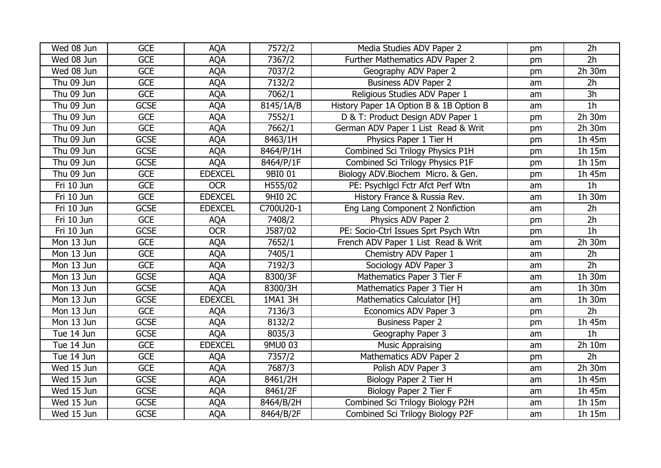| Wed 08 Jun                     | <b>GCE</b>  | <b>AQA</b>     | 7572/2         | Media Studies ADV Paper 2               | pm | 2 <sub>h</sub>      |
|--------------------------------|-------------|----------------|----------------|-----------------------------------------|----|---------------------|
| Wed 08 Jun                     | <b>GCE</b>  | <b>AQA</b>     | 7367/2         | Further Mathematics ADV Paper 2         | pm | 2h                  |
| Wed 08 Jun                     | <b>GCE</b>  | <b>AQA</b>     | 7037/2         | Geography ADV Paper 2                   | pm | 2h 30m              |
| Thu 09 Jun                     | <b>GCE</b>  | <b>AQA</b>     | 7132/2         | <b>Business ADV Paper 2</b>             | am | 2h                  |
| Thu 09 Jun                     | <b>GCE</b>  | <b>AQA</b>     | 7062/1         | Religious Studies ADV Paper 1           | am | 3h                  |
| Thu 09 Jun                     | <b>GCSE</b> | <b>AQA</b>     | 8145/1A/B      | History Paper 1A Option B & 1B Option B | am | 1 <sub>h</sub>      |
| Thu 09 Jun                     | <b>GCE</b>  | <b>AQA</b>     | 7552/1         | D & T: Product Design ADV Paper 1       | pm | $2h$ 30 $m$         |
| Thu 09 Jun                     | <b>GCE</b>  | <b>AQA</b>     | 7662/1         | German ADV Paper 1 List Read & Writ     | pm | 2h 30m              |
| Thu 09 Jun                     | <b>GCSE</b> | <b>AQA</b>     | 8463/1H        | Physics Paper 1 Tier H                  | pm | 1h 45m              |
| Thu 09 Jun                     | <b>GCSE</b> | <b>AQA</b>     | 8464/P/1H      | Combined Sci Trilogy Physics P1H        | pm | 1h 15m              |
| $\overline{\text{Thu}}$ 09 Jun | <b>GCSE</b> | <b>AQA</b>     | 8464/P/1F      | Combined Sci Trilogy Physics P1F        | pm | $\overline{1}h$ 15m |
| Thu 09 Jun                     | <b>GCE</b>  | <b>EDEXCEL</b> | 9BI0 01        | Biology ADV. Biochem Micro. & Gen.      | pm | 1h 45m              |
| Fri 10 Jun                     | <b>GCE</b>  | <b>OCR</b>     | H555/02        | PE: Psychigcl Fctr Afct Perf Wtn        | am | 1 <sub>h</sub>      |
| Fri 10 Jun                     | <b>GCE</b>  | <b>EDEXCEL</b> | <b>9HI0 2C</b> | History France & Russia Rev.            | am | 1h 30m              |
| Fri 10 Jun                     | <b>GCSE</b> | <b>EDEXCEL</b> | C700U20-1      | Eng Lang Component 2 Nonfiction         | am | 2h                  |
| Fri 10 Jun                     | <b>GCE</b>  | <b>AQA</b>     | 7408/2         | Physics ADV Paper 2                     | pm | 2 <sub>h</sub>      |
| Fri 10 Jun                     | <b>GCSE</b> | <b>OCR</b>     | J587/02        | PE: Socio-Ctrl Issues Sprt Psych Wtn    | pm | 1 <sub>h</sub>      |
| Mon 13 Jun                     | <b>GCE</b>  | <b>AQA</b>     | 7652/1         | French ADV Paper 1 List Read & Writ     | am | 2h 30m              |
| Mon 13 Jun                     | <b>GCE</b>  | <b>AQA</b>     | 7405/1         | Chemistry ADV Paper 1                   | am | 2h                  |
| Mon 13 Jun                     | <b>GCE</b>  | <b>AQA</b>     | 7192/3         | Sociology ADV Paper 3                   | am | 2 <sub>h</sub>      |
| Mon 13 Jun                     | <b>GCSE</b> | <b>AQA</b>     | 8300/3F        | Mathematics Paper 3 Tier F              | am | 1h 30m              |
| Mon 13 Jun                     | <b>GCSE</b> | <b>AQA</b>     | 8300/3H        | Mathematics Paper 3 Tier H              | am | 1h 30m              |
| Mon 13 Jun                     | <b>GCSE</b> | <b>EDEXCEL</b> | 1MA1 3H        | Mathematics Calculator [H]              | am | 1h 30m              |
| Mon 13 Jun                     | <b>GCE</b>  | <b>AQA</b>     | 7136/3         | Economics ADV Paper 3                   | pm | 2h                  |
| Mon 13 Jun                     | <b>GCSE</b> | <b>AQA</b>     | 8132/2         | <b>Business Paper 2</b>                 | pm | 1h 45m              |
| Tue 14 Jun                     | <b>GCSE</b> | <b>AQA</b>     | 8035/3         | Geography Paper 3                       | am | 1 <sub>h</sub>      |
| Tue 14 Jun                     | <b>GCE</b>  | <b>EDEXCEL</b> | 9MU0 03        | <b>Music Appraising</b>                 | am | $2h$ 10m            |
| Tue 14 Jun                     | <b>GCE</b>  | <b>AQA</b>     | 7357/2         | Mathematics ADV Paper 2                 | pm | 2 <sub>h</sub>      |
| Wed 15 Jun                     | <b>GCE</b>  | <b>AQA</b>     | 7687/3         | Polish ADV Paper 3                      | am | 2h 30m              |
| Wed 15 Jun                     | <b>GCSE</b> | <b>AQA</b>     | 8461/2H        | Biology Paper 2 Tier H                  | am | 1h 45m              |
| Wed 15 Jun                     | <b>GCSE</b> | <b>AQA</b>     | 8461/2F        | Biology Paper 2 Tier F                  | am | 1h 45m              |
| Wed 15 Jun                     | <b>GCSE</b> | <b>AQA</b>     | 8464/B/2H      | Combined Sci Trilogy Biology P2H        | am | 1h 15m              |
| Wed 15 Jun                     | <b>GCSE</b> | <b>AQA</b>     | 8464/B/2F      | Combined Sci Trilogy Biology P2F        | am | 1h 15m              |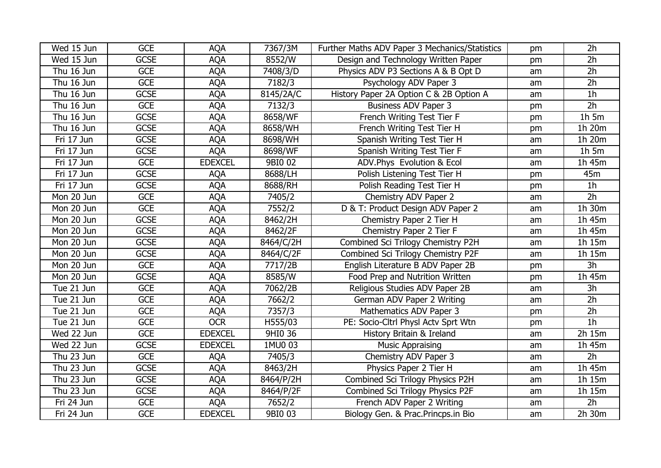| Wed 15 Jun | <b>GCE</b>  | <b>AQA</b>     | 7367/3M   | Further Maths ADV Paper 3 Mechanics/Statistics | pm | 2h             |
|------------|-------------|----------------|-----------|------------------------------------------------|----|----------------|
| Wed 15 Jun | <b>GCSE</b> | <b>AQA</b>     | 8552/W    | Design and Technology Written Paper            | pm | 2h             |
| Thu 16 Jun | <b>GCE</b>  | <b>AQA</b>     | 7408/3/D  | Physics ADV P3 Sections A & B Opt D            | am | 2h             |
| Thu 16 Jun | <b>GCE</b>  | <b>AQA</b>     | 7182/3    | Psychology ADV Paper 3                         | am | 2h             |
| Thu 16 Jun | <b>GCSE</b> | <b>AQA</b>     | 8145/2A/C | History Paper 2A Option C & 2B Option A        | am | 1 <sub>h</sub> |
| Thu 16 Jun | <b>GCE</b>  | <b>AQA</b>     | 7132/3    | <b>Business ADV Paper 3</b>                    | pm | 2h             |
| Thu 16 Jun | <b>GCSE</b> | <b>AQA</b>     | 8658/WF   | French Writing Test Tier F                     | pm | $1h$ 5 $m$     |
| Thu 16 Jun | <b>GCSE</b> | <b>AQA</b>     | 8658/WH   | French Writing Test Tier H                     | pm | 1h 20m         |
| Fri 17 Jun | <b>GCSE</b> | <b>AQA</b>     | 8698/WH   | Spanish Writing Test Tier H                    | am | 1h 20m         |
| Fri 17 Jun | <b>GCSE</b> | <b>AQA</b>     | 8698/WF   | Spanish Writing Test Tier F                    | am | $1h$ 5m        |
| Fri 17 Jun | <b>GCE</b>  | <b>EDEXCEL</b> | 9BI0 02   | ADV. Phys Evolution & Ecol                     | am | 1h 45m         |
| Fri 17 Jun | <b>GCSE</b> | <b>AQA</b>     | 8688/LH   | Polish Listening Test Tier H                   | pm | 45m            |
| Fri 17 Jun | <b>GCSE</b> | <b>AQA</b>     | 8688/RH   | Polish Reading Test Tier H                     | pm | 1 <sub>h</sub> |
| Mon 20 Jun | <b>GCE</b>  | <b>AQA</b>     | 7405/2    | Chemistry ADV Paper 2                          | am | 2h             |
| Mon 20 Jun | <b>GCE</b>  | <b>AQA</b>     | 7552/2    | D & T: Product Design ADV Paper 2              | am | 1h 30m         |
| Mon 20 Jun | <b>GCSE</b> | <b>AQA</b>     | 8462/2H   | Chemistry Paper 2 Tier H                       | am | 1h 45m         |
| Mon 20 Jun | <b>GCSE</b> | <b>AQA</b>     | 8462/2F   | Chemistry Paper 2 Tier F                       | am | 1h 45m         |
| Mon 20 Jun | <b>GCSE</b> | <b>AQA</b>     | 8464/C/2H | Combined Sci Trilogy Chemistry P2H             | am | 1h 15m         |
| Mon 20 Jun | <b>GCSE</b> | <b>AQA</b>     | 8464/C/2F | Combined Sci Trilogy Chemistry P2F             | am | $1h$ 15m       |
| Mon 20 Jun | <b>GCE</b>  | <b>AQA</b>     | 7717/2B   | English Literature B ADV Paper 2B              | pm | 3h             |
| Mon 20 Jun | <b>GCSE</b> | <b>AQA</b>     | 8585/W    | Food Prep and Nutrition Written                | pm | 1h 45m         |
| Tue 21 Jun | <b>GCE</b>  | <b>AQA</b>     | 7062/2B   | Religious Studies ADV Paper 2B                 | am | 3h             |
| Tue 21 Jun | <b>GCE</b>  | <b>AQA</b>     | 7662/2    | German ADV Paper 2 Writing                     | am | 2h             |
| Tue 21 Jun | <b>GCE</b>  | <b>AQA</b>     | 7357/3    | Mathematics ADV Paper 3                        | pm | 2h             |
| Tue 21 Jun | <b>GCE</b>  | <b>OCR</b>     | H555/03   | PE: Socio-Cltrl Physl Actv Sprt Wtn            | pm | 1 <sub>h</sub> |
| Wed 22 Jun | <b>GCE</b>  | <b>EDEXCEL</b> | 9HI0 36   | History Britain & Ireland                      | am | 2h 15m         |
| Wed 22 Jun | <b>GCSE</b> | <b>EDEXCEL</b> | 1MU0 03   | <b>Music Appraising</b>                        | am | 1h 45m         |
| Thu 23 Jun | <b>GCE</b>  | <b>AQA</b>     | 7405/3    | Chemistry ADV Paper 3                          | am | 2h             |
| Thu 23 Jun | <b>GCSE</b> | <b>AQA</b>     | 8463/2H   | Physics Paper 2 Tier H                         | am | 1h 45m         |
| Thu 23 Jun | <b>GCSE</b> | <b>AQA</b>     | 8464/P/2H | Combined Sci Trilogy Physics P2H               | am | 1h 15m         |
| Thu 23 Jun | <b>GCSE</b> | <b>AQA</b>     | 8464/P/2F | Combined Sci Trilogy Physics P2F               | am | 1h 15m         |
| Fri 24 Jun | <b>GCE</b>  | AQA            | 7652/2    | French ADV Paper 2 Writing                     | am | 2h             |
| Fri 24 Jun | <b>GCE</b>  | <b>EDEXCEL</b> | 9BI0 03   | Biology Gen. & Prac. Princps. in Bio           | am | 2h 30m         |